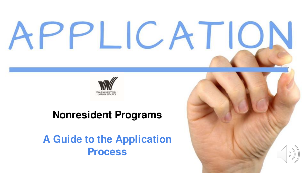# PPLICATIO



#### **Nonresident Programs**

**A Guide to the Application Process**

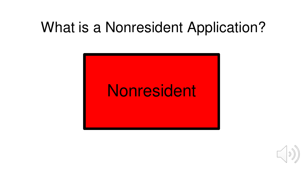# What is a Nonresident Application?



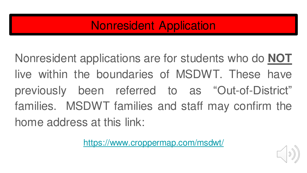### Nonresident Application

Nonresident applications are for students who do **NOT** live within the boundaries of MSDWT. These have previously been referred to as "Out-of-District" families. MSDWT families and staff may confirm the home address at this link:

<https://www.croppermap.com/msdwt/>

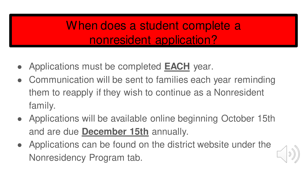## When does a student complete a nonresident application?

- Applications must be completed **EACH** year.
- Communication will be sent to families each year reminding them to reapply if they wish to continue as a Nonresident family.
- Applications will be available online beginning October 15th and are due **December 15th** annually.
- Applications can be found on the district website under the Nonresidency Program tab.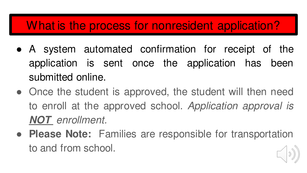#### What is the process for nonresident application?

- A system automated confirmation for receipt of the application is sent once the application has been submitted online.
- Once the student is approved, the student will then need to enroll at the approved school. Application approval is **NOT** enrollment.
- **Please Note:** Families are responsible for transportation to and from school.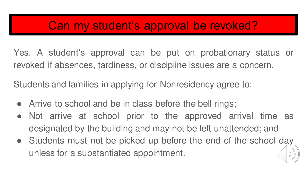#### Can my student's approval be revoked?

Yes. A student's approval can be put on probationary status or revoked if absences, tardiness, or discipline issues are a concern.

Students and families in applying for Nonresidency agree to:

- Arrive to school and be in class before the bell rings;
- Not arrive at school prior to the approved arrival time as designated by the building and may not be left unattended; and
- Students must not be picked up before the end of the school day unless for a substantiated appointment.